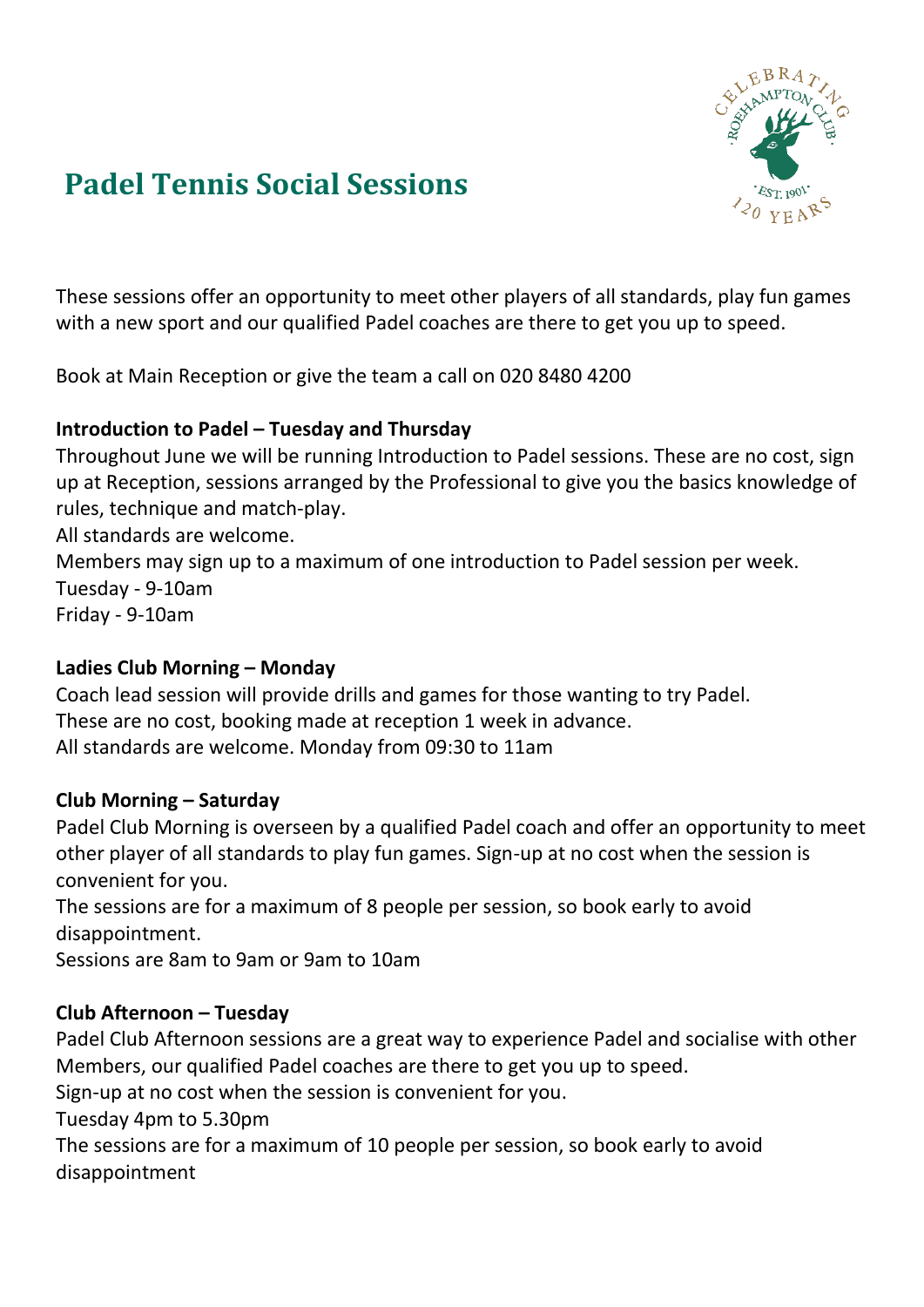

# **Padel Tennis Social Sessions**

These sessions offer an opportunity to meet other players of all standards, play fun games with a new sport and our qualified Padel coaches are there to get you up to speed.

Book at Main Reception or give the team a call on 020 8480 4200

## **Introduction to Padel – Tuesday and Thursday**

Throughout June we will be running Introduction to Padel sessions. These are no cost, sign up at Reception, sessions arranged by the Professional to give you the basics knowledge of rules, technique and match-play.

All standards are welcome.

Members may sign up to a maximum of one introduction to Padel session per week. Tuesday - 9-10am Friday - 9-10am

## **Ladies Club Morning – Monday**

Coach lead session will provide drills and games for those wanting to try Padel. These are no cost, booking made at reception 1 week in advance. All standards are welcome. Monday from 09:30 to 11am

## **Club Morning – Saturday**

Padel Club Morning is overseen by a qualified Padel coach and offer an opportunity to meet other player of all standards to play fun games. Sign-up at no cost when the session is convenient for you.

The sessions are for a maximum of 8 people per session, so book early to avoid disappointment.

Sessions are 8am to 9am or 9am to 10am

## **Club Afternoon – Tuesday**

Padel Club Afternoon sessions are a great way to experience Padel and socialise with other Members, our qualified Padel coaches are there to get you up to speed.

Sign-up at no cost when the session is convenient for you.

Tuesday 4pm to 5.30pm

The sessions are for a maximum of 10 people per session, so book early to avoid disappointment